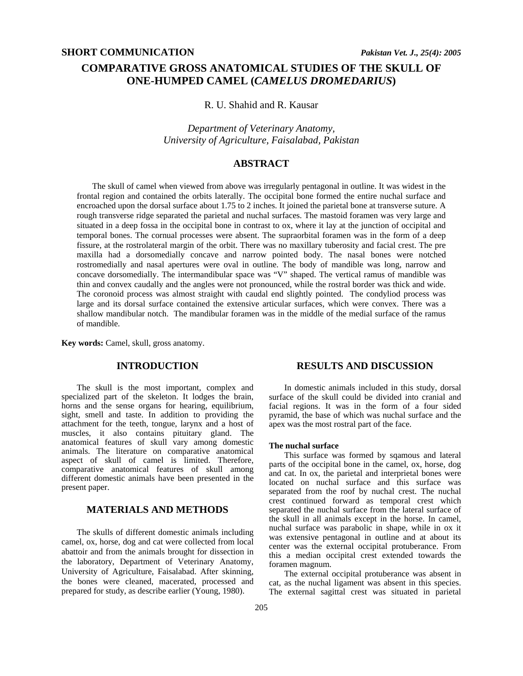# **COMPARATIVE GROSS ANATOMICAL STUDIES OF THE SKULL OF ONE-HUMPED CAMEL (***CAMELUS DROMEDARIUS***)**

R. U. Shahid and R. Kausar

*Department of Veterinary Anatomy, University of Agriculture, Faisalabad, Pakistan* 

# **ABSTRACT**

The skull of camel when viewed from above was irregularly pentagonal in outline. It was widest in the frontal region and contained the orbits laterally. The occipital bone formed the entire nuchal surface and encroached upon the dorsal surface about 1.75 to 2 inches. It joined the parietal bone at transverse suture. A rough transverse ridge separated the parietal and nuchal surfaces. The mastoid foramen was very large and situated in a deep fossa in the occipital bone in contrast to ox, where it lay at the junction of occipital and temporal bones. The cornual processes were absent. The supraorbital foramen was in the form of a deep fissure, at the rostrolateral margin of the orbit. There was no maxillary tuberosity and facial crest. The pre maxilla had a dorsomedially concave and narrow pointed body. The nasal bones were notched rostromedially and nasal apertures were oval in outline. The body of mandible was long, narrow and concave dorsomedially. The intermandibular space was "V" shaped. The vertical ramus of mandible was thin and convex caudally and the angles were not pronounced, while the rostral border was thick and wide. The coronoid process was almost straight with caudal end slightly pointed. The condyliod process was large and its dorsal surface contained the extensive articular surfaces, which were convex. There was a shallow mandibular notch. The mandibular foramen was in the middle of the medial surface of the ramus of mandible.

**Key words:** Camel, skull, gross anatomy.

# **INTRODUCTION**

The skull is the most important, complex and specialized part of the skeleton. It lodges the brain, horns and the sense organs for hearing, equilibrium, sight, smell and taste. In addition to providing the attachment for the teeth, tongue, larynx and a host of muscles, it also contains pituitary gland. The anatomical features of skull vary among domestic animals. The literature on comparative anatomical aspect of skull of camel is limited. Therefore, comparative anatomical features of skull among different domestic animals have been presented in the present paper.

### **MATERIALS AND METHODS**

The skulls of different domestic animals including camel, ox, horse, dog and cat were collected from local abattoir and from the animals brought for dissection in the laboratory, Department of Veterinary Anatomy, University of Agriculture, Faisalabad. After skinning, the bones were cleaned, macerated, processed and prepared for study, as describe earlier (Young, 1980).

## **RESULTS AND DISCUSSION**

In domestic animals included in this study, dorsal surface of the skull could be divided into cranial and facial regions. It was in the form of a four sided pyramid, the base of which was nuchal surface and the apex was the most rostral part of the face.

#### **The nuchal surface**

This surface was formed by sqamous and lateral parts of the occipital bone in the camel, ox, horse, dog and cat. In ox, the parietal and interprietal bones were located on nuchal surface and this surface was separated from the roof by nuchal crest. The nuchal crest continued forward as temporal crest which separated the nuchal surface from the lateral surface of the skull in all animals except in the horse. In camel, nuchal surface was parabolic in shape, while in ox it was extensive pentagonal in outline and at about its center was the external occipital protuberance. From this a median occipital crest extended towards the foramen magnum.

The external occipital protuberance was absent in cat, as the nuchal ligament was absent in this species. The external sagittal crest was situated in parietal